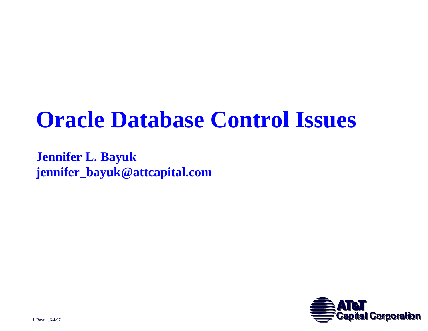## **Oracle Database Control Issues**

**Jennifer L. Bayuk jennifer\_bayuk@attcapital.com**

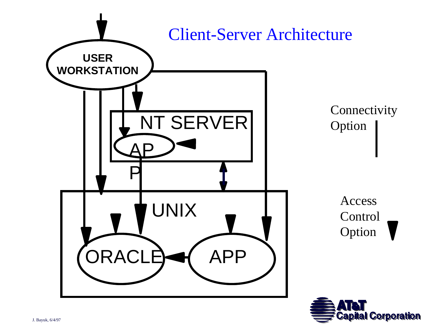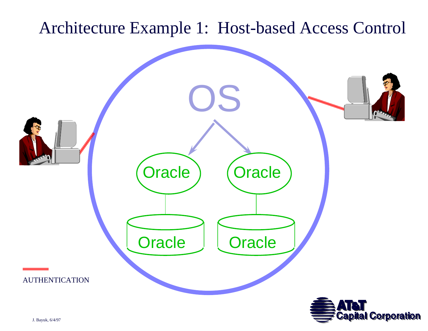#### Architecture Example 1: Host-based Access Control

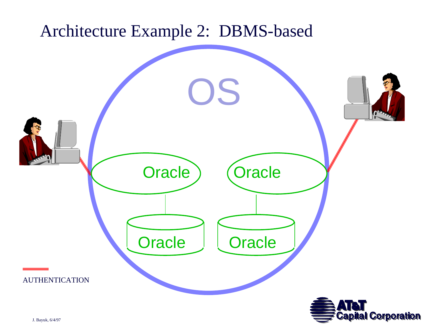#### Architecture Example 2: DBMS-based

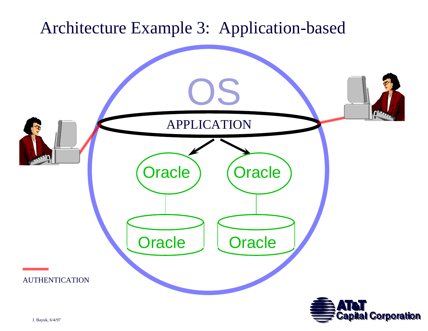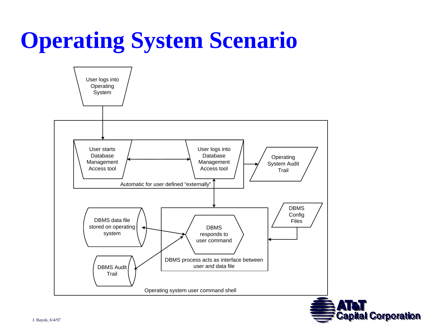## **Operating System Scenario**

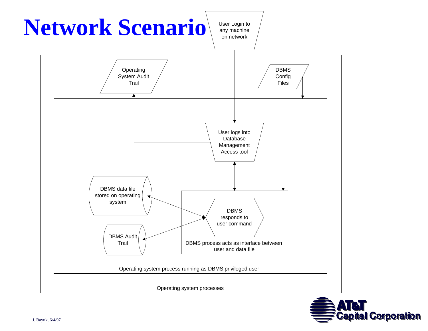

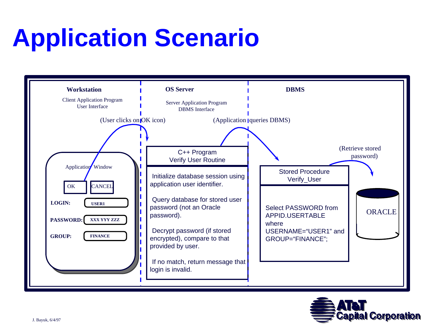# **Application Scenario**



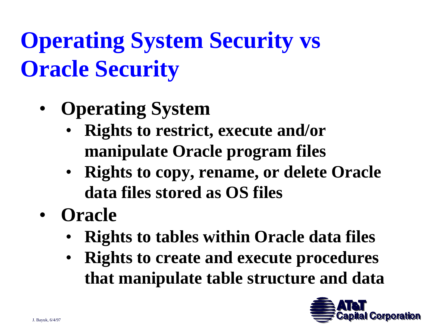# **Operating System Security vs Oracle Security**

- • **Operating System**
	- **Rights to restrict, execute and/or manipulate Oracle program files**
	- **Rights to copy, rename, or delete Oracle data files stored as OS files**
- **Oracle** 
	- •**Rights to tables within Oracle data files**
	- $\bullet$  **Rights to create and execute procedures that manipulate table structure and data**

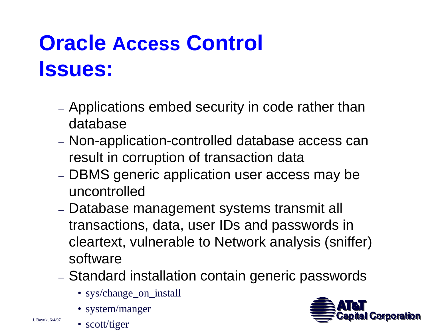## **Oracle Access Control Issues:**

- Applications embed security in code rather than database
- Non-application-controlled database access can result in corruption of transaction data
- DBMS generic application user access may be uncontrolled
- Database management systems transmit all transactions, data, user IDs and passwords in cleartext, vulnerable to Network analysis (sniffer) software
- Standard installation contain generic passwords
	- sys/change\_on\_install
	- system/manger
	- scott/tiger

J. Bayuk, 6/4/97

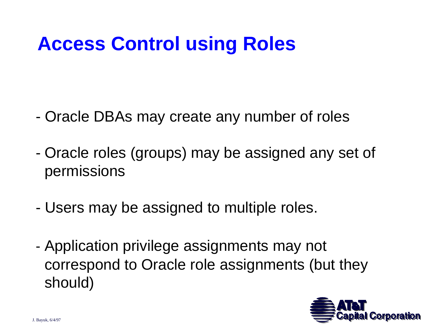### **Access Control using Roles**

- Oracle DBAs may create any number of roles
- Oracle roles (groups) may be assigned any set of permissions
- -Users may be assigned to multiple roles.
- Application privilege assignments may not correspond to Oracle role assignments (but they should)

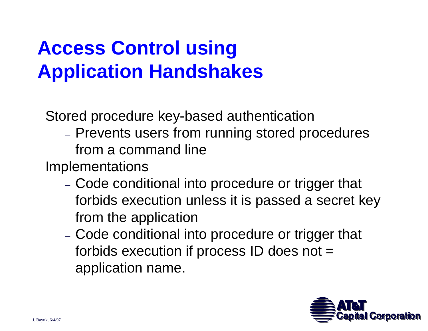## **Access Control using Application Handshakes**

Stored procedure key-based authentication

 Prevents users from running stored procedures from a command line

Implementations

- Code conditional into procedure or trigger that forbids execution unless it is passed a secret key from the application
- Code conditional into procedure or trigger that forbids execution if process ID does not = application name.

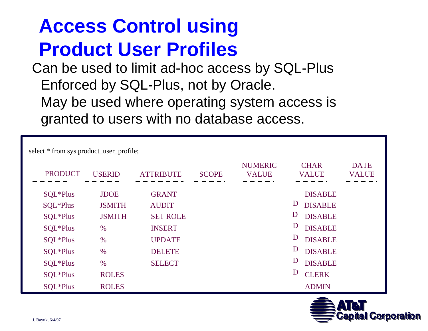### **Access Control using Product User Profiles**

Can be used to limit ad-hoc access by SQL-Plus Enforced by SQL-Plus, not by Oracle. May be used where operating system access is granted to users with no database access.

| select * from sys.product_user_profile; |               |                  |              |                                |                             |                             |
|-----------------------------------------|---------------|------------------|--------------|--------------------------------|-----------------------------|-----------------------------|
| <b>PRODUCT</b>                          | <b>USERID</b> | <b>ATTRIBUTE</b> | <b>SCOPE</b> | <b>NUMERIC</b><br><b>VALUE</b> | <b>CHAR</b><br><b>VALUE</b> | <b>DATE</b><br><b>VALUE</b> |
| SQL*Plus                                | <b>JDOE</b>   | <b>GRANT</b>     |              |                                | <b>DISABLE</b>              |                             |
| SQL*Plus                                | <b>JSMITH</b> | <b>AUDIT</b>     |              |                                | D<br><b>DISABLE</b>         |                             |
| SQL*Plus                                | <b>JSMITH</b> | <b>SET ROLE</b>  |              |                                | D<br><b>DISABLE</b>         |                             |
| SQL*Plus                                | $\%$          | <b>INSERT</b>    |              |                                | D<br><b>DISABLE</b>         |                             |
| SQL*Plus                                | $\frac{0}{0}$ | <b>UPDATE</b>    |              |                                | D<br><b>DISABLE</b>         |                             |
| SQL*Plus                                | $\%$          | <b>DELETE</b>    |              |                                | D<br><b>DISABLE</b>         |                             |
| SQL*Plus                                | $\frac{0}{0}$ | <b>SELECT</b>    |              |                                | D<br><b>DISABLE</b>         |                             |
| SQL*Plus                                | <b>ROLES</b>  |                  |              |                                | D<br><b>CLERK</b>           |                             |
| SQL*Plus                                | <b>ROLES</b>  |                  |              |                                | <b>ADMIN</b>                |                             |

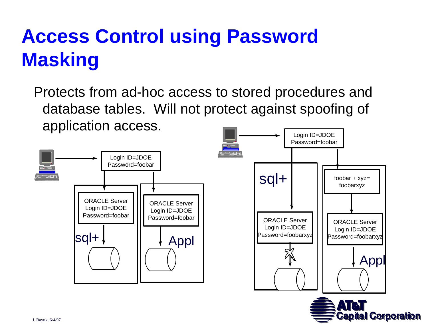## **Access Control using Password Masking**

Protects from ad-hoc access to stored procedures and database tables. Will not protect against spoofing of application access.

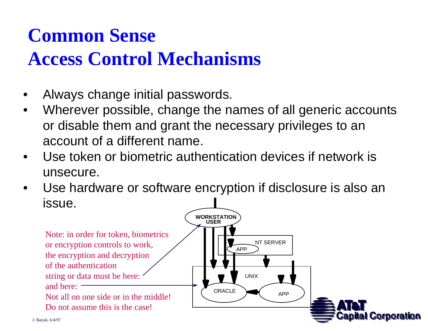## **Common Sense**

### **Access Control Mechanisms**

- •Always change initial passwords.
- $\bullet$  Wherever possible, change the names of all generic accounts or disable them and grant the necessary privileges to an account of a different name.
- • Use token or biometric authentication devices if network is unsecure.
- • Use hardware or software encryption if disclosure is also an issue.

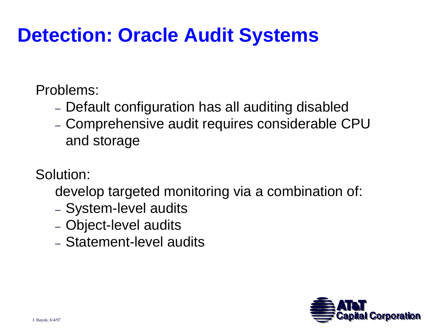### **Detection: Oracle Audit Systems**

Problems:

- Default configuration has all auditing disabled
- Comprehensive audit requires considerable CPU and storage

Solution:

develop targeted monitoring via a combination of:

- System-level audits
- Object-level audits
- Statement-level audits

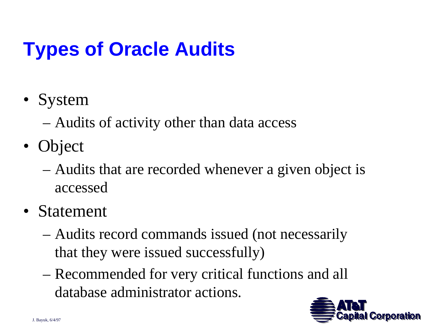## **Types of Oracle Audits**

- System
	- Audits of activity other than data access
- Object
	- Audits that are recorded whenever a given object is accessed
- Statement
	- Audits record commands issued (not necessarily that they were issued successfully)
	- Recommended for very critical functions and all database administrator actions.

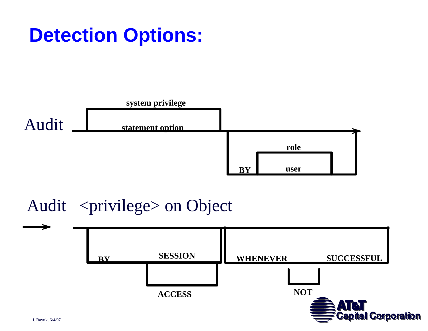### **Detection Options:**



#### Audit <privilege> on Object

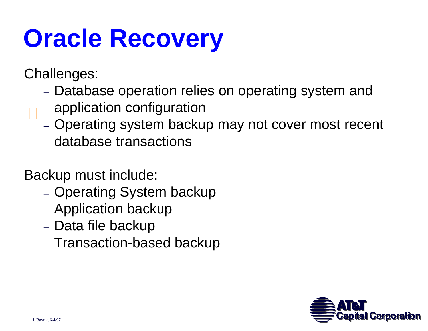# **Oracle Recovery**

Challenges:

- Database operation relies on operating system and
- application configuration
	- Operating system backup may not cover most recent database transactions

Backup must include:

- Operating System backup
- Application backup
- Data file backup
- Transaction-based backup

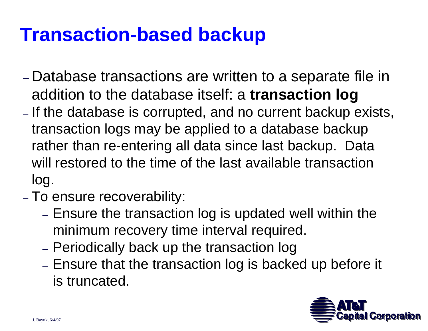### **Transaction-based backup**

- Database transactions are written to a separate file in addition to the database itself: a **transaction log**
- –- If the database is corrupted, and no current backup exists, transaction logs may be applied to a database backup rather than re-entering all data since last backup. Data will restored to the time of the last available transaction log.
- To ensure recoverability:
	- Ensure the transaction log is updated well within the minimum recovery time interval required.
	- Periodically back up the transaction log
	- Ensure that the transaction log is backed up before it is truncated.

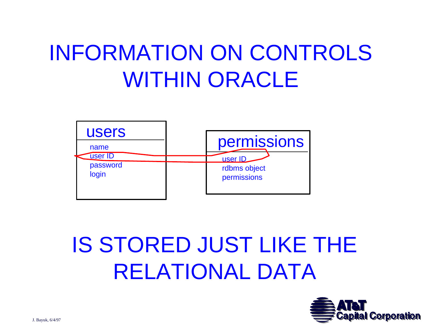## INFORMATION ON CONTROLS WITHIN ORACLE



## IS STORED JUST LIKE THE RELATIONAL DATA

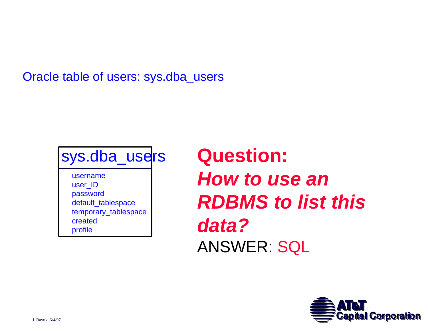Oracle table of users: sys.dba\_users



usernameuser\_ID password default\_tablespace temporary\_tablespace createdprofile

**Question:** *How to use an RDBMS to list this data?*ANSWER: SQL

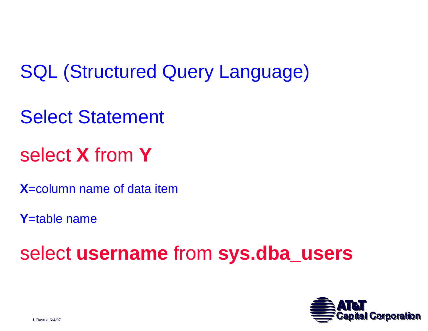SQL (Structured Query Language)

Select Statement

select **X** from **Y** 

**X**=column name of data item

**Y**=table name

select **username** from **sys.dba\_users** 

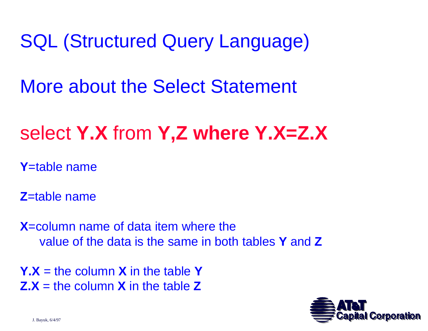SQL (Structured Query Language)

More about the Select Statement

### select **Y.X** from **Y,Z where Y.X=Z.X**

**Y**=table name

**Z**=table name

**X**=column name of data item where the value of the data is the same in both tables **Y** and **Z**

**Y.X** = the column **X** in the table **YZ.X** = the column **X** in the table **Z**

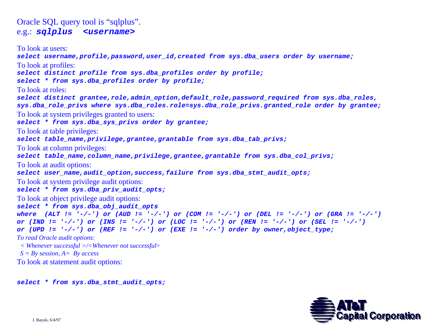Oracle SQL query tool is "sqlplus". e.g.: *sqlplus <username>*

To look at users:*select username,profile,password,user\_id,created from sys.dba\_users order by username;* To look at profiles: *select distinct profile from sys.dba\_profiles order by profile; select \* from sys.dba\_profiles order by profile;* To look at roles:*select distinct grantee,role,admin\_option,default\_role,password\_required from sys.dba\_roles, sys.dba\_role\_privs where sys.dba\_roles.role=sys.dba\_role\_privs.granted\_role order by grantee;* To look at system privileges granted to users: *select \* from sys.dba\_sys\_privs order by grantee;* To look at table privileges: *select table\_name,privilege,grantee,grantable from sys.dba\_tab\_privs;* To look at column privileges: *select table\_name,column\_name,privilege,grantee,grantable from sys.dba\_col\_privs;* To look at audit options: *select user\_name,audit\_option,success,failure from sys.dba\_stmt\_audit\_opts;* To look at system privilege audit options: *select \* from sys.dba\_priv\_audit\_opts;* To look at object privilege audit options: *select \* from sys.dba\_obj\_audit\_opts where (ALT != '-/-') or (AUD != '-/-') or (COM != '-/-') or (DEL != '-/-') or (GRA != '-/-') or (IND != '-/-') or (INS != '-/-') or (LOC != '-/-') or (REN != '-/-') or (SEL != '-/-') or (UPD != '-/-') or (REF != '-/-') or (EXE != '-/-') order by owner,object\_type; To read Oracle audit options: < Whenever successful >/<Whenever not successful*<sup>&</sup>gt; *S = By session, A= By access* To look at statement audit options:

*select \* from sys.dba\_stmt\_audit\_opts;*